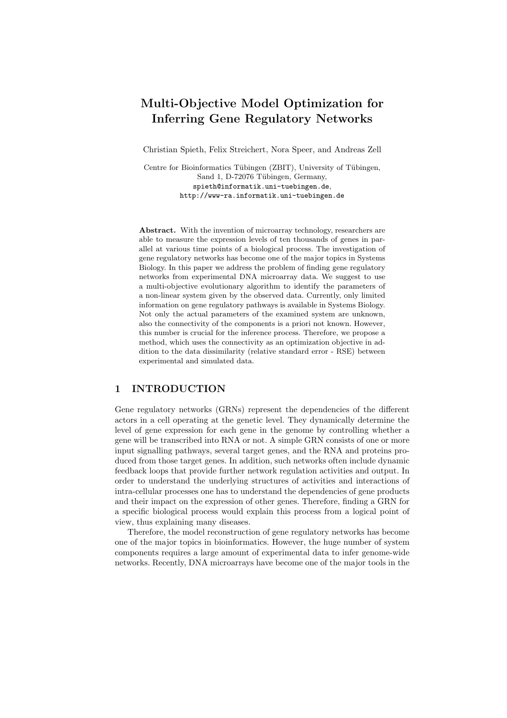# Multi-Objective Model Optimization for Inferring Gene Regulatory Networks

Christian Spieth, Felix Streichert, Nora Speer, and Andreas Zell

Centre for Bioinformatics Tübingen (ZBIT), University of Tübingen, Sand 1, D-72076 Tübingen, Germany, spieth@informatik.uni-tuebingen.de, http://www-ra.informatik.uni-tuebingen.de

Abstract. With the invention of microarray technology, researchers are able to measure the expression levels of ten thousands of genes in parallel at various time points of a biological process. The investigation of gene regulatory networks has become one of the major topics in Systems Biology. In this paper we address the problem of finding gene regulatory networks from experimental DNA microarray data. We suggest to use a multi-objective evolutionary algorithm to identify the parameters of a non-linear system given by the observed data. Currently, only limited information on gene regulatory pathways is available in Systems Biology. Not only the actual parameters of the examined system are unknown, also the connectivity of the components is a priori not known. However, this number is crucial for the inference process. Therefore, we propose a method, which uses the connectivity as an optimization objective in addition to the data dissimilarity (relative standard error - RSE) between experimental and simulated data.

## 1 INTRODUCTION

Gene regulatory networks (GRNs) represent the dependencies of the different actors in a cell operating at the genetic level. They dynamically determine the level of gene expression for each gene in the genome by controlling whether a gene will be transcribed into RNA or not. A simple GRN consists of one or more input signalling pathways, several target genes, and the RNA and proteins produced from those target genes. In addition, such networks often include dynamic feedback loops that provide further network regulation activities and output. In order to understand the underlying structures of activities and interactions of intra-cellular processes one has to understand the dependencies of gene products and their impact on the expression of other genes. Therefore, finding a GRN for a specific biological process would explain this process from a logical point of view, thus explaining many diseases.

Therefore, the model reconstruction of gene regulatory networks has become one of the major topics in bioinformatics. However, the huge number of system components requires a large amount of experimental data to infer genome-wide networks. Recently, DNA microarrays have become one of the major tools in the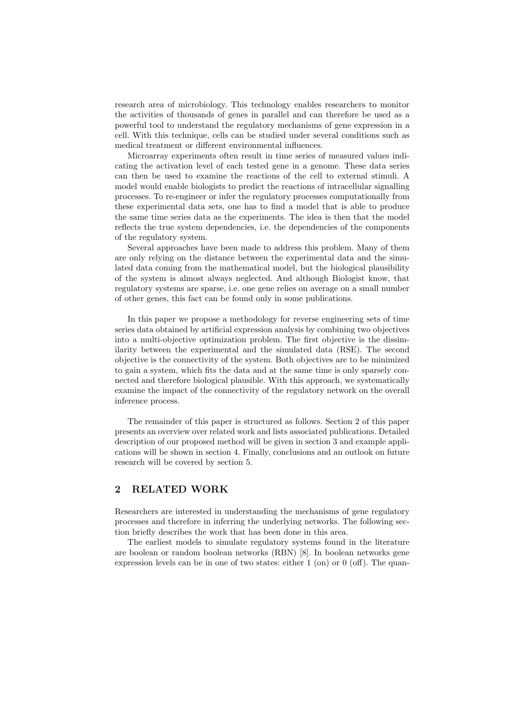research area of microbiology. This technology enables researchers to monitor the activities of thousands of genes in parallel and can therefore be used as a powerful tool to understand the regulatory mechanisms of gene expression in a cell. With this technique, cells can be studied under several conditions such as medical treatment or different environmental influences.

Microarray experiments often result in time series of measured values indicating the activation level of each tested gene in a genome. These data series can then be used to examine the reactions of the cell to external stimuli. A model would enable biologists to predict the reactions of intracellular signalling processes. To re-engineer or infer the regulatory processes computationally from these experimental data sets, one has to find a model that is able to produce the same time series data as the experiments. The idea is then that the model reflects the true system dependencies, i.e. the dependencies of the components of the regulatory system.

Several approaches have been made to address this problem. Many of them are only relying on the distance between the experimental data and the simulated data coming from the mathematical model, but the biological plausibility of the system is almost always neglected. And although Biologist know, that regulatory systems are sparse, i.e. one gene relies on average on a small number of other genes, this fact can be found only in some publications.

In this paper we propose a methodology for reverse engineering sets of time series data obtained by artificial expression analysis by combining two objectives into a multi-objective optimization problem. The first objective is the dissimilarity between the experimental and the simulated data (RSE). The second objective is the connectivity of the system. Both objectives are to be minimized to gain a system, which fits the data and at the same time is only sparsely connected and therefore biological plausible. With this approach, we systematically examine the impact of the connectivity of the regulatory network on the overall inference process.

The remainder of this paper is structured as follows. Section 2 of this paper presents an overview over related work and lists associated publications. Detailed description of our proposed method will be given in section 3 and example applications will be shown in section 4. Finally, conclusions and an outlook on future research will be covered by section 5.

## 2 RELATED WORK

Researchers are interested in understanding the mechanisms of gene regulatory processes and therefore in inferring the underlying networks. The following section briefly describes the work that has been done in this area.

The earliest models to simulate regulatory systems found in the literature are boolean or random boolean networks (RBN) [8]. In boolean networks gene expression levels can be in one of two states: either 1 (on) or 0 (off). The quan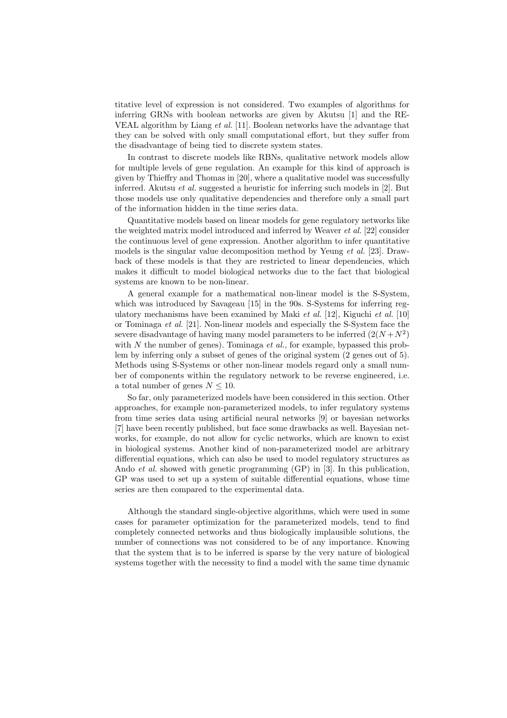titative level of expression is not considered. Two examples of algorithms for inferring GRNs with boolean networks are given by Akutsu [1] and the RE-VEAL algorithm by Liang et al. [11]. Boolean networks have the advantage that they can be solved with only small computational effort, but they suffer from the disadvantage of being tied to discrete system states.

In contrast to discrete models like RBNs, qualitative network models allow for multiple levels of gene regulation. An example for this kind of approach is given by Thieffry and Thomas in [20], where a qualitative model was successfully inferred. Akutsu et al. suggested a heuristic for inferring such models in [2]. But those models use only qualitative dependencies and therefore only a small part of the information hidden in the time series data.

Quantitative models based on linear models for gene regulatory networks like the weighted matrix model introduced and inferred by Weaver et al. [22] consider the continuous level of gene expression. Another algorithm to infer quantitative models is the singular value decomposition method by Yeung et al. [23]. Drawback of these models is that they are restricted to linear dependencies, which makes it difficult to model biological networks due to the fact that biological systems are known to be non-linear.

A general example for a mathematical non-linear model is the S-System, which was introduced by Savageau [15] in the 90s. S-Systems for inferring regulatory mechanisms have been examined by Maki et al. [12], Kiguchi et al. [10] or Tominaga et al. [21]. Non-linear models and especially the S-System face the severe disadvantage of having many model parameters to be inferred  $(2(N+N^2))$ with N the number of genes). Tominaga  $et$  al., for example, bypassed this problem by inferring only a subset of genes of the original system (2 genes out of 5). Methods using S-Systems or other non-linear models regard only a small number of components within the regulatory network to be reverse engineered, i.e. a total number of genes  $N \leq 10$ .

So far, only parameterized models have been considered in this section. Other approaches, for example non-parameterized models, to infer regulatory systems from time series data using artificial neural networks [9] or bayesian networks [7] have been recently published, but face some drawbacks as well. Bayesian networks, for example, do not allow for cyclic networks, which are known to exist in biological systems. Another kind of non-parameterized model are arbitrary differential equations, which can also be used to model regulatory structures as Ando et al. showed with genetic programming (GP) in [3]. In this publication, GP was used to set up a system of suitable differential equations, whose time series are then compared to the experimental data.

Although the standard single-objective algorithms, which were used in some cases for parameter optimization for the parameterized models, tend to find completely connected networks and thus biologically implausible solutions, the number of connections was not considered to be of any importance. Knowing that the system that is to be inferred is sparse by the very nature of biological systems together with the necessity to find a model with the same time dynamic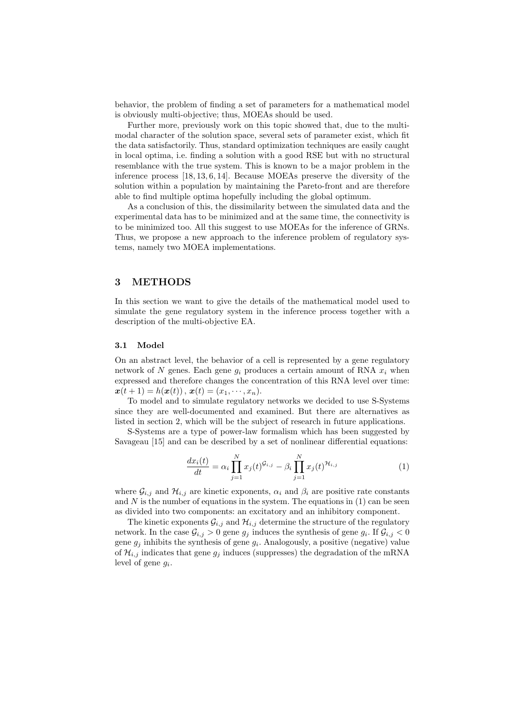behavior, the problem of finding a set of parameters for a mathematical model is obviously multi-objective; thus, MOEAs should be used.

Further more, previously work on this topic showed that, due to the multimodal character of the solution space, several sets of parameter exist, which fit the data satisfactorily. Thus, standard optimization techniques are easily caught in local optima, i.e. finding a solution with a good RSE but with no structural resemblance with the true system. This is known to be a major problem in the inference process [18, 13, 6, 14]. Because MOEAs preserve the diversity of the solution within a population by maintaining the Pareto-front and are therefore able to find multiple optima hopefully including the global optimum.

As a conclusion of this, the dissimilarity between the simulated data and the experimental data has to be minimized and at the same time, the connectivity is to be minimized too. All this suggest to use MOEAs for the inference of GRNs. Thus, we propose a new approach to the inference problem of regulatory systems, namely two MOEA implementations.

## 3 METHODS

In this section we want to give the details of the mathematical model used to simulate the gene regulatory system in the inference process together with a description of the multi-objective EA.

#### 3.1 Model

On an abstract level, the behavior of a cell is represented by a gene regulatory network of N genes. Each gene  $q_i$  produces a certain amount of RNA  $x_i$  when expressed and therefore changes the concentration of this RNA level over time:  $\mathbf{x}(t+1) = h(\mathbf{x}(t)), \mathbf{x}(t) = (x_1, \dots, x_n).$ 

To model and to simulate regulatory networks we decided to use S-Systems since they are well-documented and examined. But there are alternatives as listed in section 2, which will be the subject of research in future applications.

S-Systems are a type of power-law formalism which has been suggested by Savageau [15] and can be described by a set of nonlinear differential equations:

$$
\frac{dx_i(t)}{dt} = \alpha_i \prod_{j=1}^N x_j(t)^{\mathcal{G}_{i,j}} - \beta_i \prod_{j=1}^N x_j(t)^{\mathcal{H}_{i,j}}
$$
(1)

where  $\mathcal{G}_{i,j}$  and  $\mathcal{H}_{i,j}$  are kinetic exponents,  $\alpha_i$  and  $\beta_i$  are positive rate constants and  $N$  is the number of equations in the system. The equations in  $(1)$  can be seen as divided into two components: an excitatory and an inhibitory component.

The kinetic exponents  $\mathcal{G}_{i,j}$  and  $\mathcal{H}_{i,j}$  determine the structure of the regulatory network. In the case  $\mathcal{G}_{i,j} > 0$  gene  $g_j$  induces the synthesis of gene  $g_i$ . If  $\mathcal{G}_{i,j} < 0$ gene  $g_j$  inhibits the synthesis of gene  $g_i$ . Analogously, a positive (negative) value of  $\mathcal{H}_{i,j}$  indicates that gene  $g_j$  induces (suppresses) the degradation of the mRNA level of gene  $g_i$ .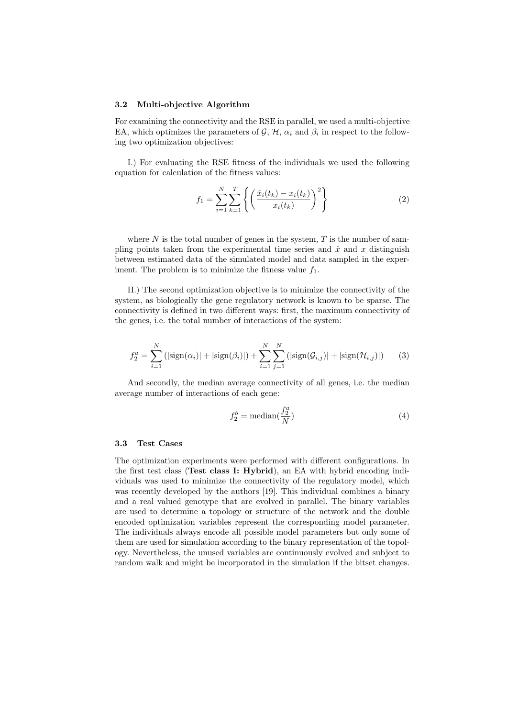#### 3.2 Multi-objective Algorithm

For examining the connectivity and the RSE in parallel, we used a multi-objective EA, which optimizes the parameters of  $\mathcal{G}, \mathcal{H}, \alpha_i$  and  $\beta_i$  in respect to the following two optimization objectives:

I.) For evaluating the RSE fitness of the individuals we used the following equation for calculation of the fitness values:

$$
f_1 = \sum_{i=1}^{N} \sum_{k=1}^{T} \left\{ \left( \frac{\hat{x}_i(t_k) - x_i(t_k)}{x_i(t_k)} \right)^2 \right\}
$$
 (2)

where  $N$  is the total number of genes in the system,  $T$  is the number of sampling points taken from the experimental time series and  $\hat{x}$  and x distinguish between estimated data of the simulated model and data sampled in the experiment. The problem is to minimize the fitness value  $f_1$ .

II.) The second optimization objective is to minimize the connectivity of the system, as biologically the gene regulatory network is known to be sparse. The connectivity is defined in two different ways: first, the maximum connectivity of the genes, i.e. the total number of interactions of the system:

$$
f_2^a = \sum_{i=1}^N (|\text{sign}(\alpha_i)| + |\text{sign}(\beta_i)|) + \sum_{i=1}^N \sum_{j=1}^N (|\text{sign}(\mathcal{G}_{i,j})| + |\text{sign}(\mathcal{H}_{i,j})|)
$$
(3)

And secondly, the median average connectivity of all genes, i.e. the median average number of interactions of each gene:

$$
f_2^b = \text{median}(\frac{f_2^a}{N})
$$
\n<sup>(4)</sup>

#### 3.3 Test Cases

The optimization experiments were performed with different configurations. In the first test class (Test class I: Hybrid), an EA with hybrid encoding individuals was used to minimize the connectivity of the regulatory model, which was recently developed by the authors [19]. This individual combines a binary and a real valued genotype that are evolved in parallel. The binary variables are used to determine a topology or structure of the network and the double encoded optimization variables represent the corresponding model parameter. The individuals always encode all possible model parameters but only some of them are used for simulation according to the binary representation of the topology. Nevertheless, the unused variables are continuously evolved and subject to random walk and might be incorporated in the simulation if the bitset changes.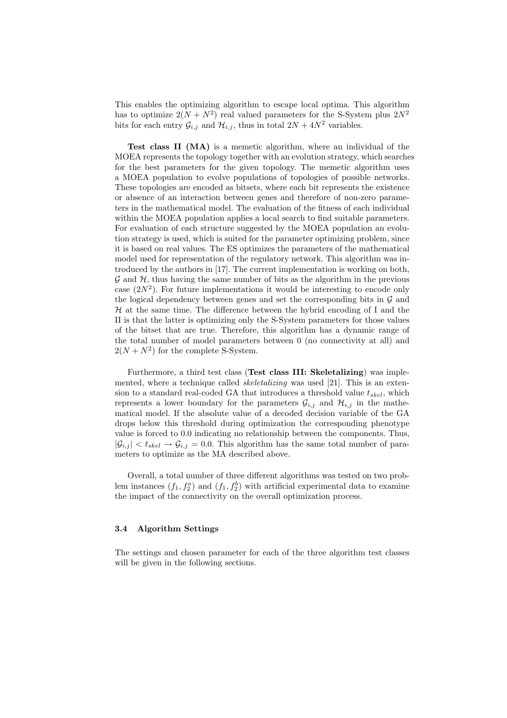This enables the optimizing algorithm to escape local optima. This algorithm has to optimize  $2(N + N^2)$  real valued parameters for the S-System plus  $2N^2$ bits for each entry  $\mathcal{G}_{i,j}$  and  $\mathcal{H}_{i,j}$ , thus in total  $2N + 4N^2$  variables.

Test class II (MA) is a memetic algorithm, where an individual of the MOEA represents the topology together with an evolution strategy, which searches for the best parameters for the given topology. The memetic algorithm uses a MOEA population to evolve populations of topologies of possible networks. These topologies are encoded as bitsets, where each bit represents the existence or absence of an interaction between genes and therefore of non-zero parameters in the mathematical model. The evaluation of the fitness of each individual within the MOEA population applies a local search to find suitable parameters. For evaluation of each structure suggested by the MOEA population an evolution strategy is used, which is suited for the parameter optimizing problem, since it is based on real values. The ES optimizes the parameters of the mathematical model used for representation of the regulatory network. This algorithm was introduced by the authors in [17]. The current implementation is working on both,  $\mathcal G$  and  $\mathcal H$ , thus having the same number of bits as the algorithm in the previous case  $(2N^2)$ . For future implementations it would be interesting to encode only the logical dependency between genes and set the corresponding bits in  $\mathcal G$  and  $H$  at the same time. The difference between the hybrid encoding of I and the II is that the latter is optimizing only the S-System parameters for those values of the bitset that are true. Therefore, this algorithm has a dynamic range of the total number of model parameters between 0 (no connectivity at all) and  $2(N + N^2)$  for the complete S-System.

Furthermore, a third test class (Test class III: Skeletalizing) was implemented, where a technique called *skeletalizing* was used [21]. This is an extension to a standard real-coded GA that introduces a threshold value  $t_{skel}$ , which represents a lower boundary for the parameters  $\mathcal{G}_{i,j}$  and  $\mathcal{H}_{i,j}$  in the mathematical model. If the absolute value of a decoded decision variable of the GA drops below this threshold during optimization the corresponding phenotype value is forced to 0.0 indicating no relationship between the components. Thus,  $|\mathcal{G}_{i,j}| < t_{skel} \rightarrow \mathcal{G}_{i,j} = 0.0$ . This algorithm has the same total number of parameters to optimize as the MA described above.

Overall, a total number of three different algorithms was tested on two problem instances  $(f_1, f_2^a)$  and  $(f_1, f_2^b)$  with artificial experimental data to examine the impact of the connectivity on the overall optimization process.

#### 3.4 Algorithm Settings

The settings and chosen parameter for each of the three algorithm test classes will be given in the following sections.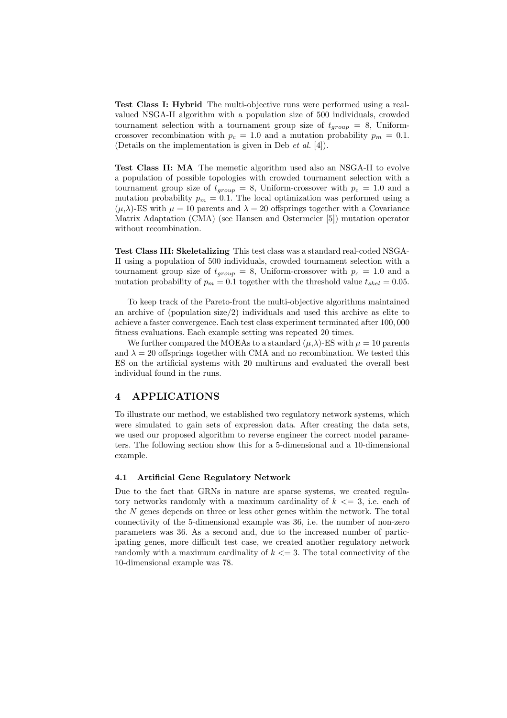Test Class I: Hybrid The multi-objective runs were performed using a realvalued NSGA-II algorithm with a population size of 500 individuals, crowded tournament selection with a tournament group size of  $t_{group} = 8$ , Uniformcrossover recombination with  $p_c = 1.0$  and a mutation probability  $p_m = 0.1$ . (Details on the implementation is given in Deb et al. [4]).

Test Class II: MA The memetic algorithm used also an NSGA-II to evolve a population of possible topologies with crowded tournament selection with a tournament group size of  $t_{group} = 8$ , Uniform-crossover with  $p_c = 1.0$  and a mutation probability  $p_m = 0.1$ . The local optimization was performed using a  $(\mu, \lambda)$ -ES with  $\mu = 10$  parents and  $\lambda = 20$  offsprings together with a Covariance Matrix Adaptation (CMA) (see Hansen and Ostermeier [5]) mutation operator without recombination.

Test Class III: Skeletalizing This test class was a standard real-coded NSGA-II using a population of 500 individuals, crowded tournament selection with a tournament group size of  $t_{group} = 8$ , Uniform-crossover with  $p_c = 1.0$  and a mutation probability of  $p_m = 0.1$  together with the threshold value  $t_{skel} = 0.05$ .

To keep track of the Pareto-front the multi-objective algorithms maintained an archive of (population size/2) individuals and used this archive as elite to achieve a faster convergence. Each test class experiment terminated after 100, 000 fitness evaluations. Each example setting was repeated 20 times.

We further compared the MOEAs to a standard  $(\mu, \lambda)$ -ES with  $\mu = 10$  parents and  $\lambda = 20$  offsprings together with CMA and no recombination. We tested this ES on the artificial systems with 20 multiruns and evaluated the overall best individual found in the runs.

## 4 APPLICATIONS

To illustrate our method, we established two regulatory network systems, which were simulated to gain sets of expression data. After creating the data sets, we used our proposed algorithm to reverse engineer the correct model parameters. The following section show this for a 5-dimensional and a 10-dimensional example.

#### 4.1 Artificial Gene Regulatory Network

Due to the fact that GRNs in nature are sparse systems, we created regulatory networks randomly with a maximum cardinality of  $k \leq 3$ , i.e. each of the N genes depends on three or less other genes within the network. The total connectivity of the 5-dimensional example was 36, i.e. the number of non-zero parameters was 36. As a second and, due to the increased number of participating genes, more difficult test case, we created another regulatory network randomly with a maximum cardinality of  $k \leq 3$ . The total connectivity of the 10-dimensional example was 78.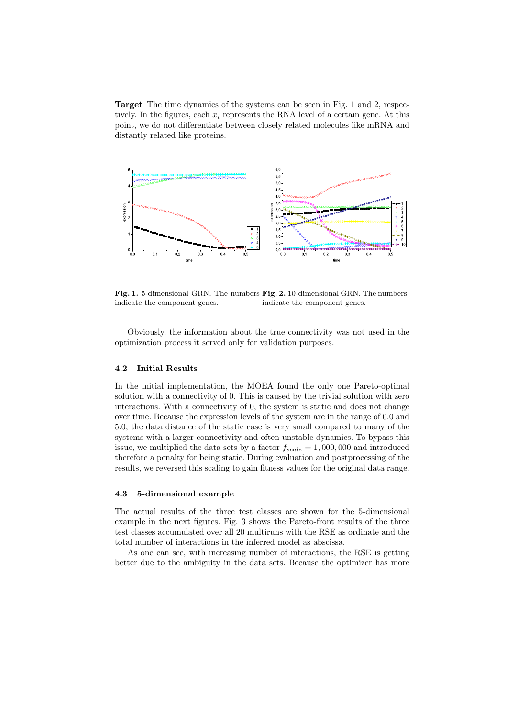Target The time dynamics of the systems can be seen in Fig. 1 and 2, respectively. In the figures, each  $x_i$  represents the RNA level of a certain gene. At this point, we do not differentiate between closely related molecules like mRNA and distantly related like proteins.



Fig. 1. 5-dimensional GRN. The numbers Fig. 2. 10-dimensional GRN. The numbers indicate the component genes. indicate the component genes.

Obviously, the information about the true connectivity was not used in the optimization process it served only for validation purposes.

### 4.2 Initial Results

In the initial implementation, the MOEA found the only one Pareto-optimal solution with a connectivity of 0. This is caused by the trivial solution with zero interactions. With a connectivity of 0, the system is static and does not change over time. Because the expression levels of the system are in the range of 0.0 and 5.0, the data distance of the static case is very small compared to many of the systems with a larger connectivity and often unstable dynamics. To bypass this issue, we multiplied the data sets by a factor  $f_{scale} = 1,000,000$  and introduced therefore a penalty for being static. During evaluation and postprocessing of the results, we reversed this scaling to gain fitness values for the original data range.

#### 4.3 5-dimensional example

The actual results of the three test classes are shown for the 5-dimensional example in the next figures. Fig. 3 shows the Pareto-front results of the three test classes accumulated over all 20 multiruns with the RSE as ordinate and the total number of interactions in the inferred model as abscissa.

As one can see, with increasing number of interactions, the RSE is getting better due to the ambiguity in the data sets. Because the optimizer has more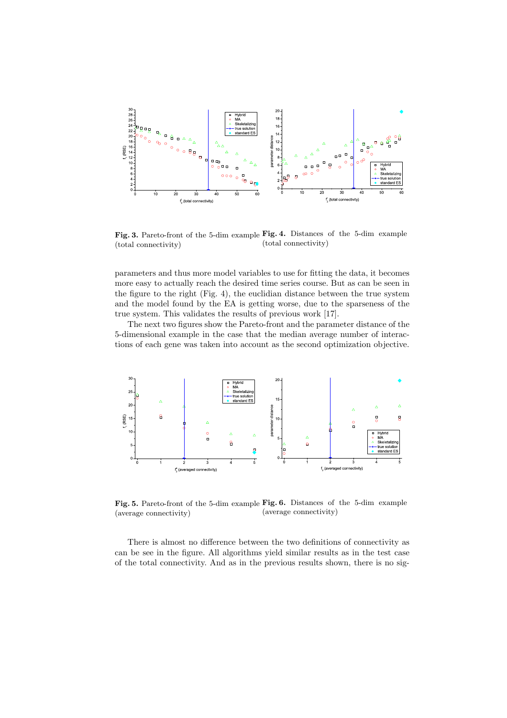

Fig. 3. Pareto-front of the 5-dim example Fig. 4. Distances of the 5-dim example (total connectivity) (total connectivity)

parameters and thus more model variables to use for fitting the data, it becomes more easy to actually reach the desired time series course. But as can be seen in the figure to the right (Fig. 4), the euclidian distance between the true system and the model found by the EA is getting worse, due to the sparseness of the true system. This validates the results of previous work [17].

The next two figures show the Pareto-front and the parameter distance of the 5-dimensional example in the case that the median average number of interactions of each gene was taken into account as the second optimization objective.



Fig. 5. Pareto-front of the 5-dim example Fig. 6. Distances of the 5-dim example (average connectivity) (average connectivity)

There is almost no difference between the two definitions of connectivity as can be see in the figure. All algorithms yield similar results as in the test case of the total connectivity. And as in the previous results shown, there is no sig-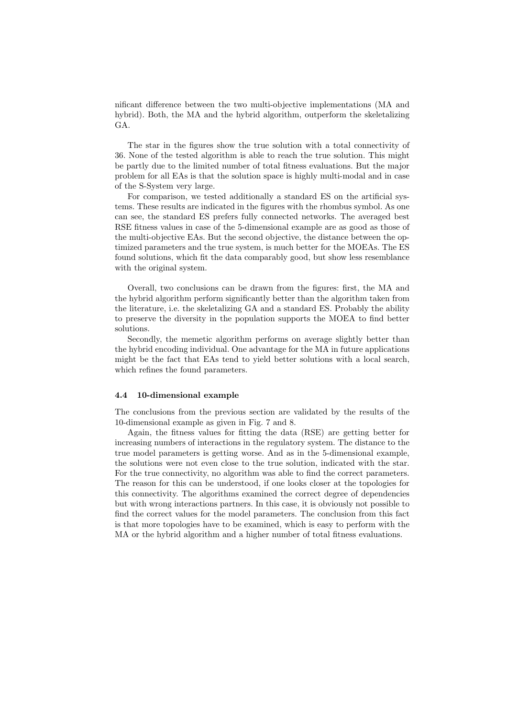nificant difference between the two multi-objective implementations (MA and hybrid). Both, the MA and the hybrid algorithm, outperform the skeletalizing GA.

The star in the figures show the true solution with a total connectivity of 36. None of the tested algorithm is able to reach the true solution. This might be partly due to the limited number of total fitness evaluations. But the major problem for all EAs is that the solution space is highly multi-modal and in case of the S-System very large.

For comparison, we tested additionally a standard ES on the artificial systems. These results are indicated in the figures with the rhombus symbol. As one can see, the standard ES prefers fully connected networks. The averaged best RSE fitness values in case of the 5-dimensional example are as good as those of the multi-objective EAs. But the second objective, the distance between the optimized parameters and the true system, is much better for the MOEAs. The ES found solutions, which fit the data comparably good, but show less resemblance with the original system.

Overall, two conclusions can be drawn from the figures: first, the MA and the hybrid algorithm perform significantly better than the algorithm taken from the literature, i.e. the skeletalizing GA and a standard ES. Probably the ability to preserve the diversity in the population supports the MOEA to find better solutions.

Secondly, the memetic algorithm performs on average slightly better than the hybrid encoding individual. One advantage for the MA in future applications might be the fact that EAs tend to yield better solutions with a local search, which refines the found parameters.

#### 4.4 10-dimensional example

The conclusions from the previous section are validated by the results of the 10-dimensional example as given in Fig. 7 and 8.

Again, the fitness values for fitting the data (RSE) are getting better for increasing numbers of interactions in the regulatory system. The distance to the true model parameters is getting worse. And as in the 5-dimensional example, the solutions were not even close to the true solution, indicated with the star. For the true connectivity, no algorithm was able to find the correct parameters. The reason for this can be understood, if one looks closer at the topologies for this connectivity. The algorithms examined the correct degree of dependencies but with wrong interactions partners. In this case, it is obviously not possible to find the correct values for the model parameters. The conclusion from this fact is that more topologies have to be examined, which is easy to perform with the MA or the hybrid algorithm and a higher number of total fitness evaluations.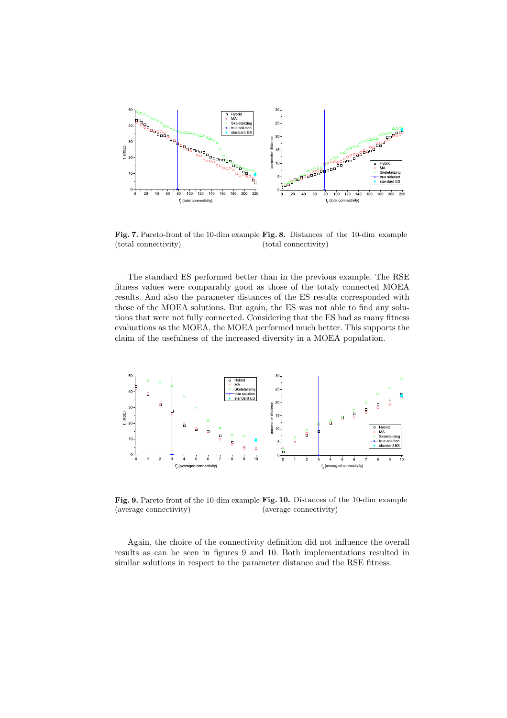

Fig. 7. Pareto-front of the 10-dim example Fig. 8. Distances of the 10-dim example (total connectivity) (total connectivity)

The standard ES performed better than in the previous example. The RSE fitness values were comparably good as those of the totaly connected MOEA results. And also the parameter distances of the ES results corresponded with those of the MOEA solutions. But again, the ES was not able to find any solutions that were not fully connected. Considering that the ES had as many fitness evaluations as the MOEA, the MOEA performed much better. This supports the claim of the usefulness of the increased diversity in a MOEA population.



Fig. 9. Pareto-front of the 10-dim example Fig. 10. Distances of the 10-dim example (average connectivity) (average connectivity)

Again, the choice of the connectivity definition did not influence the overall results as can be seen in figures 9 and 10. Both implementations resulted in similar solutions in respect to the parameter distance and the RSE fitness.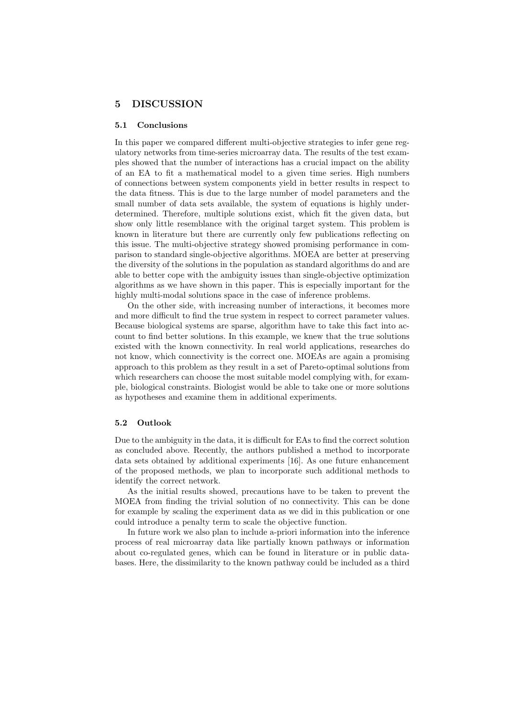## 5 DISCUSSION

#### 5.1 Conclusions

In this paper we compared different multi-objective strategies to infer gene regulatory networks from time-series microarray data. The results of the test examples showed that the number of interactions has a crucial impact on the ability of an EA to fit a mathematical model to a given time series. High numbers of connections between system components yield in better results in respect to the data fitness. This is due to the large number of model parameters and the small number of data sets available, the system of equations is highly underdetermined. Therefore, multiple solutions exist, which fit the given data, but show only little resemblance with the original target system. This problem is known in literature but there are currently only few publications reflecting on this issue. The multi-objective strategy showed promising performance in comparison to standard single-objective algorithms. MOEA are better at preserving the diversity of the solutions in the population as standard algorithms do and are able to better cope with the ambiguity issues than single-objective optimization algorithms as we have shown in this paper. This is especially important for the highly multi-modal solutions space in the case of inference problems.

On the other side, with increasing number of interactions, it becomes more and more difficult to find the true system in respect to correct parameter values. Because biological systems are sparse, algorithm have to take this fact into account to find better solutions. In this example, we knew that the true solutions existed with the known connectivity. In real world applications, researches do not know, which connectivity is the correct one. MOEAs are again a promising approach to this problem as they result in a set of Pareto-optimal solutions from which researchers can choose the most suitable model complying with, for example, biological constraints. Biologist would be able to take one or more solutions as hypotheses and examine them in additional experiments.

#### 5.2 Outlook

Due to the ambiguity in the data, it is difficult for EAs to find the correct solution as concluded above. Recently, the authors published a method to incorporate data sets obtained by additional experiments [16]. As one future enhancement of the proposed methods, we plan to incorporate such additional methods to identify the correct network.

As the initial results showed, precautions have to be taken to prevent the MOEA from finding the trivial solution of no connectivity. This can be done for example by scaling the experiment data as we did in this publication or one could introduce a penalty term to scale the objective function.

In future work we also plan to include a-priori information into the inference process of real microarray data like partially known pathways or information about co-regulated genes, which can be found in literature or in public databases. Here, the dissimilarity to the known pathway could be included as a third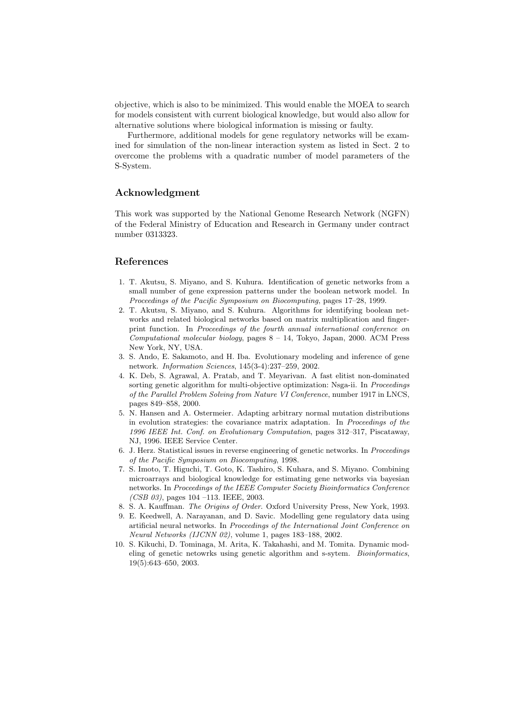objective, which is also to be minimized. This would enable the MOEA to search for models consistent with current biological knowledge, but would also allow for alternative solutions where biological information is missing or faulty.

Furthermore, additional models for gene regulatory networks will be examined for simulation of the non-linear interaction system as listed in Sect. 2 to overcome the problems with a quadratic number of model parameters of the S-System.

## Acknowledgment

This work was supported by the National Genome Research Network (NGFN) of the Federal Ministry of Education and Research in Germany under contract number 0313323.

#### References

- 1. T. Akutsu, S. Miyano, and S. Kuhura. Identification of genetic networks from a small number of gene expression patterns under the boolean network model. In Proceedings of the Pacific Symposium on Biocomputing, pages 17–28, 1999.
- 2. T. Akutsu, S. Miyano, and S. Kuhura. Algorithms for identifying boolean networks and related biological networks based on matrix multiplication and fingerprint function. In Proceedings of the fourth annual international conference on Computational molecular biology, pages 8 – 14, Tokyo, Japan, 2000. ACM Press New York, NY, USA.
- 3. S. Ando, E. Sakamoto, and H. Iba. Evolutionary modeling and inference of gene network. Information Sciences, 145(3-4):237–259, 2002.
- 4. K. Deb, S. Agrawal, A. Pratab, and T. Meyarivan. A fast elitist non-dominated sorting genetic algorithm for multi-objective optimization: Nsga-ii. In *Proceedings* of the Parallel Problem Solving from Nature VI Conference, number 1917 in LNCS, pages 849–858, 2000.
- 5. N. Hansen and A. Ostermeier. Adapting arbitrary normal mutation distributions in evolution strategies: the covariance matrix adaptation. In Proceedings of the 1996 IEEE Int. Conf. on Evolutionary Computation, pages 312–317, Piscataway, NJ, 1996. IEEE Service Center.
- 6. J. Herz. Statistical issues in reverse engineering of genetic networks. In Proceedings of the Pacific Symposium on Biocomputing, 1998.
- 7. S. Imoto, T. Higuchi, T. Goto, K. Tashiro, S. Kuhara, and S. Miyano. Combining microarrays and biological knowledge for estimating gene networks via bayesian networks. In Proceedings of the IEEE Computer Society Bioinformatics Conference (CSB 03), pages 104 -113. IEEE, 2003.
- 8. S. A. Kauffman. The Origins of Order. Oxford University Press, New York, 1993.
- 9. E. Keedwell, A. Narayanan, and D. Savic. Modelling gene regulatory data using artificial neural networks. In Proceedings of the International Joint Conference on Neural Networks (IJCNN 02), volume 1, pages 183–188, 2002.
- 10. S. Kikuchi, D. Tominaga, M. Arita, K. Takahashi, and M. Tomita. Dynamic modeling of genetic netowrks using genetic algorithm and s-sytem. Bioinformatics, 19(5):643–650, 2003.